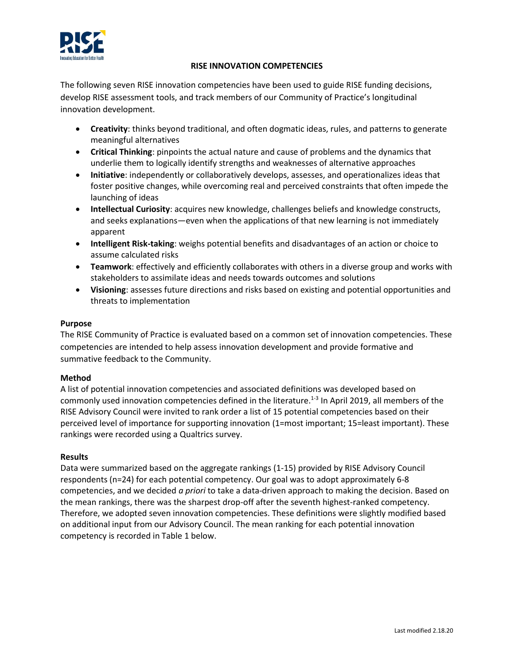

# **RISE INNOVATION COMPETENCIES**

The following seven RISE innovation competencies have been used to guide RISE funding decisions, develop RISE assessment tools, and track members of our Community of Practice's longitudinal innovation development.

- **Creativity**: thinks beyond traditional, and often dogmatic ideas, rules, and patterns to generate meaningful alternatives
- **Critical Thinking**: pinpoints the actual nature and cause of problems and the dynamics that underlie them to logically identify strengths and weaknesses of alternative approaches
- **Initiative**: independently or collaboratively develops, assesses, and operationalizes ideas that foster positive changes, while overcoming real and perceived constraints that often impede the launching of ideas
- **Intellectual Curiosity**: acquires new knowledge, challenges beliefs and knowledge constructs, and seeks explanations—even when the applications of that new learning is not immediately apparent
- **Intelligent Risk-taking**: weighs potential benefits and disadvantages of an action or choice to assume calculated risks
- **Teamwork**: effectively and efficiently collaborates with others in a diverse group and works with stakeholders to assimilate ideas and needs towards outcomes and solutions
- **Visioning**: assesses future directions and risks based on existing and potential opportunities and threats to implementation

## **Purpose**

The RISE Community of Practice is evaluated based on a common set of innovation competencies. These competencies are intended to help assess innovation development and provide formative and summative feedback to the Community.

## **Method**

A list of potential innovation competencies and associated definitions was developed based on commonly used innovation competencies defined in the literature.<sup>1-3</sup> In April 2019, all members of the RISE Advisory Council were invited to rank order a list of 15 potential competencies based on their perceived level of importance for supporting innovation (1=most important; 15=least important). These rankings were recorded using a Qualtrics survey.

## **Results**

Data were summarized based on the aggregate rankings (1-15) provided by RISE Advisory Council respondents (n=24) for each potential competency. Our goal was to adopt approximately 6-8 competencies, and we decided *a priori* to take a data-driven approach to making the decision. Based on the mean rankings, there was the sharpest drop-off after the seventh highest-ranked competency. Therefore, we adopted seven innovation competencies. These definitions were slightly modified based on additional input from our Advisory Council. The mean ranking for each potential innovation competency is recorded in Table 1 below.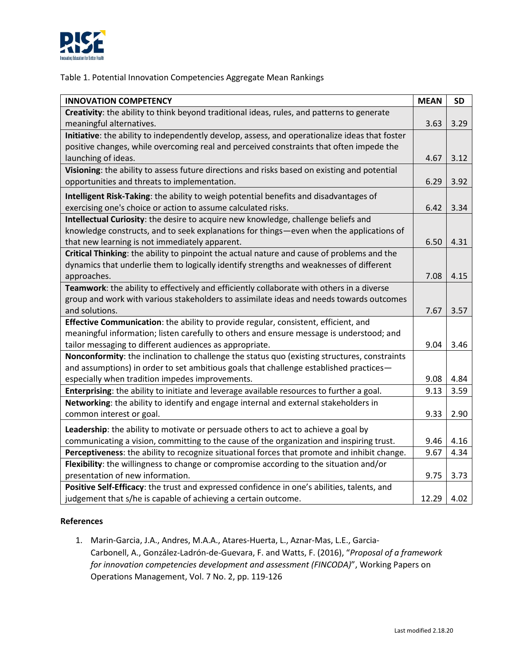

# Table 1. Potential Innovation Competencies Aggregate Mean Rankings

| <b>INNOVATION COMPETENCY</b>                                                                   | <b>MEAN</b> | <b>SD</b> |
|------------------------------------------------------------------------------------------------|-------------|-----------|
| Creativity: the ability to think beyond traditional ideas, rules, and patterns to generate     |             |           |
| meaningful alternatives.                                                                       | 3.63        | 3.29      |
| Initiative: the ability to independently develop, assess, and operationalize ideas that foster |             |           |
| positive changes, while overcoming real and perceived constraints that often impede the        |             |           |
| launching of ideas.                                                                            | 4.67        | 3.12      |
| Visioning: the ability to assess future directions and risks based on existing and potential   |             |           |
| opportunities and threats to implementation.                                                   | 6.29        | 3.92      |
| Intelligent Risk-Taking: the ability to weigh potential benefits and disadvantages of          |             |           |
| exercising one's choice or action to assume calculated risks.                                  | 6.42        | 3.34      |
| Intellectual Curiosity: the desire to acquire new knowledge, challenge beliefs and             |             |           |
| knowledge constructs, and to seek explanations for things—even when the applications of        |             |           |
| that new learning is not immediately apparent.                                                 | 6.50        | 4.31      |
| Critical Thinking: the ability to pinpoint the actual nature and cause of problems and the     |             |           |
| dynamics that underlie them to logically identify strengths and weaknesses of different        |             |           |
| approaches.                                                                                    | 7.08        | 4.15      |
| Teamwork: the ability to effectively and efficiently collaborate with others in a diverse      |             |           |
| group and work with various stakeholders to assimilate ideas and needs towards outcomes        |             |           |
| and solutions.                                                                                 | 7.67        | 3.57      |
| Effective Communication: the ability to provide regular, consistent, efficient, and            |             |           |
| meaningful information; listen carefully to others and ensure message is understood; and       |             |           |
| tailor messaging to different audiences as appropriate.                                        | 9.04        | 3.46      |
| Nonconformity: the inclination to challenge the status quo (existing structures, constraints   |             |           |
| and assumptions) in order to set ambitious goals that challenge established practices-         |             |           |
| especially when tradition impedes improvements.                                                | 9.08        | 4.84      |
| Enterprising: the ability to initiate and leverage available resources to further a goal.      | 9.13        | 3.59      |
| Networking: the ability to identify and engage internal and external stakeholders in           |             |           |
| common interest or goal.                                                                       | 9.33        | 2.90      |
| Leadership: the ability to motivate or persuade others to act to achieve a goal by             |             |           |
| communicating a vision, committing to the cause of the organization and inspiring trust.       | 9.46        | 4.16      |
| Perceptiveness: the ability to recognize situational forces that promote and inhibit change.   | 9.67        | 4.34      |
| Flexibility: the willingness to change or compromise according to the situation and/or         |             |           |
| presentation of new information.                                                               | 9.75        | 3.73      |
| Positive Self-Efficacy: the trust and expressed confidence in one's abilities, talents, and    |             |           |
| judgement that s/he is capable of achieving a certain outcome.                                 | 12.29       | 4.02      |

## **References**

1. Marin-Garcia, J.A., Andres, M.A.A., Atares-Huerta, L., Aznar-Mas, L.E., Garcia-Carbonell, A., González-Ladrón-de-Guevara, F. and Watts, F. (2016), "*Proposal of a framework for innovation competencies development and assessment (FINCODA)*", Working Papers on Operations Management, Vol. 7 No. 2, pp. 119-126